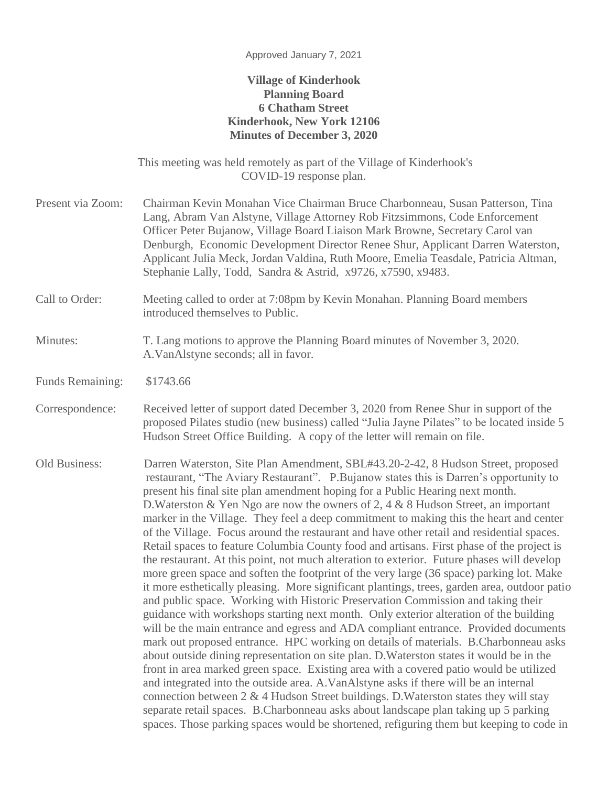## **Village of Kinderhook Planning Board 6 Chatham Street Kinderhook, New York 12106 Minutes of December 3, 2020**

This meeting was held remotely as part of the Village of Kinderhook's COVID-19 response plan.

- Present via Zoom: Chairman Kevin Monahan Vice Chairman Bruce Charbonneau, Susan Patterson, Tina Lang, Abram Van Alstyne, Village Attorney Rob Fitzsimmons, Code Enforcement Officer Peter Bujanow, Village Board Liaison Mark Browne, Secretary Carol van Denburgh, Economic Development Director Renee Shur, Applicant Darren Waterston, Applicant Julia Meck, Jordan Valdina, Ruth Moore, Emelia Teasdale, Patricia Altman, Stephanie Lally, Todd, Sandra & Astrid, x9726, x7590, x9483.
- Call to Order: Meeting called to order at 7:08pm by Kevin Monahan. Planning Board members introduced themselves to Public.

## Minutes: T. Lang motions to approve the Planning Board minutes of November 3, 2020. A.VanAlstyne seconds; all in favor.

- Funds Remaining: \$1743.66
- Correspondence: Received letter of support dated December 3, 2020 from Renee Shur in support of the proposed Pilates studio (new business) called "Julia Jayne Pilates" to be located inside 5 Hudson Street Office Building. A copy of the letter will remain on file.
- Old Business: Darren Waterston, Site Plan Amendment, SBL#43.20-2-42, 8 Hudson Street, proposed restaurant, "The Aviary Restaurant". P.Bujanow states this is Darren's opportunity to present his final site plan amendment hoping for a Public Hearing next month. D. Waterston & Yen Ngo are now the owners of 2, 4 & 8 Hudson Street, an important marker in the Village. They feel a deep commitment to making this the heart and center of the Village. Focus around the restaurant and have other retail and residential spaces. Retail spaces to feature Columbia County food and artisans. First phase of the project is the restaurant. At this point, not much alteration to exterior. Future phases will develop more green space and soften the footprint of the very large (36 space) parking lot. Make it more esthetically pleasing. More significant plantings, trees, garden area, outdoor patio and public space. Working with Historic Preservation Commission and taking their guidance with workshops starting next month. Only exterior alteration of the building will be the main entrance and egress and ADA compliant entrance. Provided documents mark out proposed entrance. HPC working on details of materials. B.Charbonneau asks about outside dining representation on site plan. D.Waterston states it would be in the front in area marked green space. Existing area with a covered patio would be utilized and integrated into the outside area. A.VanAlstyne asks if there will be an internal connection between  $2 \& 4$  Hudson Street buildings. D. Waterston states they will stay separate retail spaces. B.Charbonneau asks about landscape plan taking up 5 parking spaces. Those parking spaces would be shortened, refiguring them but keeping to code in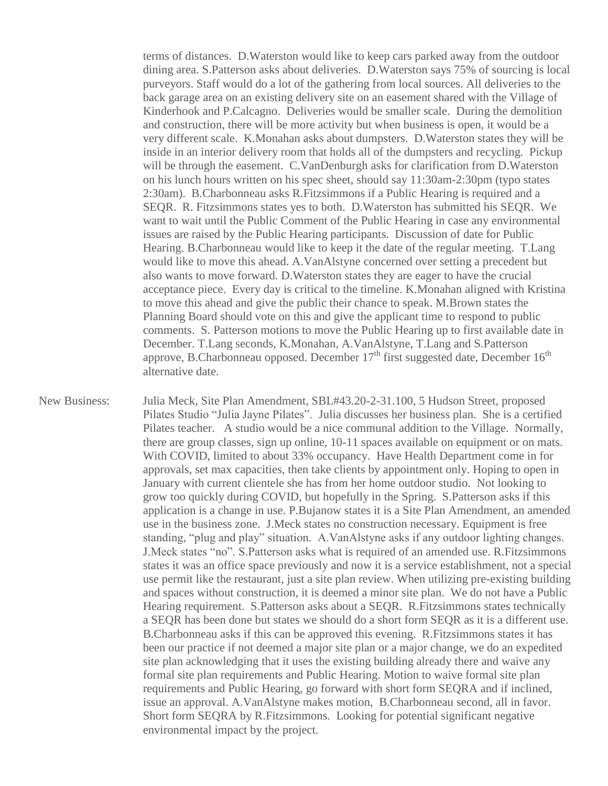terms of distances. D.Waterston would like to keep cars parked away from the outdoor dining area. S.Patterson asks about deliveries. D.Waterston says 75% of sourcing is local purveyors. Staff would do a lot of the gathering from local sources. All deliveries to the back garage area on an existing delivery site on an easement shared with the Village of Kinderhook and P.Calcagno. Deliveries would be smaller scale. During the demolition and construction, there will be more activity but when business is open, it would be a very different scale. K.Monahan asks about dumpsters. D.Waterston states they will be inside in an interior delivery room that holds all of the dumpsters and recycling. Pickup will be through the easement. C.VanDenburgh asks for clarification from D.Waterston on his lunch hours written on his spec sheet, should say 11:30am-2:30pm (typo states 2:30am). B.Charbonneau asks R.Fitzsimmons if a Public Hearing is required and a SEQR. R. Fitzsimmons states yes to both. D.Waterston has submitted his SEQR. We want to wait until the Public Comment of the Public Hearing in case any environmental issues are raised by the Public Hearing participants. Discussion of date for Public Hearing. B.Charbonneau would like to keep it the date of the regular meeting. T.Lang would like to move this ahead. A.VanAlstyne concerned over setting a precedent but also wants to move forward. D.Waterston states they are eager to have the crucial acceptance piece. Every day is critical to the timeline. K.Monahan aligned with Kristina to move this ahead and give the public their chance to speak. M.Brown states the Planning Board should vote on this and give the applicant time to respond to public comments. S. Patterson motions to move the Public Hearing up to first available date in December. T.Lang seconds, K.Monahan, A.VanAlstyne, T.Lang and S.Patterson approve, B.Charbonneau opposed. December  $17<sup>th</sup>$  first suggested date, December  $16<sup>th</sup>$ alternative date.

New Business: Julia Meck, Site Plan Amendment, SBL#43.20-2-31.100, 5 Hudson Street, proposed Pilates Studio "Julia Jayne Pilates". Julia discusses her business plan. She is a certified Pilates teacher. A studio would be a nice communal addition to the Village. Normally, there are group classes, sign up online, 10-11 spaces available on equipment or on mats. With COVID, limited to about 33% occupancy. Have Health Department come in for approvals, set max capacities, then take clients by appointment only. Hoping to open in January with current clientele she has from her home outdoor studio. Not looking to grow too quickly during COVID, but hopefully in the Spring. S.Patterson asks if this application is a change in use. P.Bujanow states it is a Site Plan Amendment, an amended use in the business zone. J.Meck states no construction necessary. Equipment is free standing, "plug and play" situation. A.VanAlstyne asks if any outdoor lighting changes. J.Meck states "no". S.Patterson asks what is required of an amended use. R.Fitzsimmons states it was an office space previously and now it is a service establishment, not a special use permit like the restaurant, just a site plan review. When utilizing pre-existing building and spaces without construction, it is deemed a minor site plan. We do not have a Public Hearing requirement. S.Patterson asks about a SEQR. R.Fitzsimmons states technically a SEQR has been done but states we should do a short form SEQR as it is a different use. B.Charbonneau asks if this can be approved this evening. R.Fitzsimmons states it has been our practice if not deemed a major site plan or a major change, we do an expedited site plan acknowledging that it uses the existing building already there and waive any formal site plan requirements and Public Hearing. Motion to waive formal site plan requirements and Public Hearing, go forward with short form SEQRA and if inclined, issue an approval. A.VanAlstyne makes motion, B.Charbonneau second, all in favor. Short form SEQRA by R.Fitzsimmons. Looking for potential significant negative environmental impact by the project.